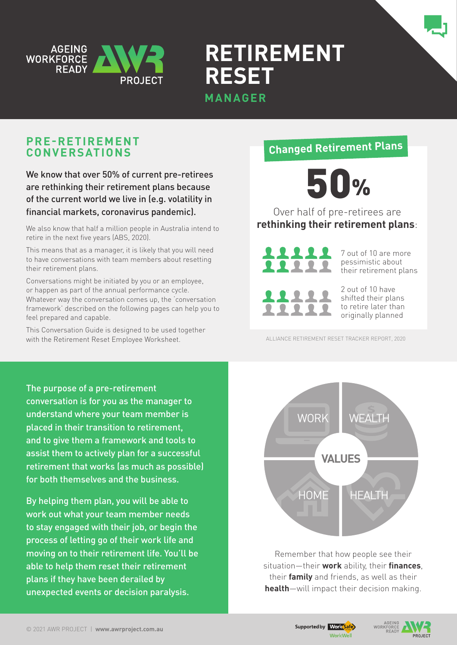

**Retirement Reset** 

# **MANAGER**

# **Pre-retirement conversations**

## We know that over 50% of current pre-retirees are rethinking their retirement plans because of the current world we live in (e.g. volatility in financial markets, coronavirus pandemic).

We also know that half a million people in Australia intend to retire in the next five years (ABS, 2020).

This means that as a manager, it is likely that you will need to have conversations with team members about resetting their retirement plans.

Conversations might be initiated by you or an employee, or happen as part of the annual performance cycle. Whatever way the conversation comes up, the 'conversation framework' described on the following pages can help you to feel prepared and capable.

This Conversation Guide is designed to be used together with the Retirement Reset Employee Worksheet.

# The purpose of a pre-retirement conversation is for you as the manager to understand where your team member is placed in their transition to retirement, and to give them a framework and tools to assist them to actively plan for a successful retirement that works (as much as possible) for both themselves and the business.

By helping them plan, you will be able to work out what your team member needs to stay engaged with their job, or begin the process of letting go of their work life and moving on to their retirement life. You'll be able to help them reset their retirement plans if they have been derailed by unexpected events or decision paralysis.

# **Changed Retirement Plans**



Over half of pre-retirees are **rethinking their retirement plans**:



7 out of 10 are more pessimistic about their retirement plans



2 out of 10 have shifted their plans to retire later than originally planned

ALLIANCE RETIREMENT RESET TRACKER REPORT, 2020



Remember that how people see their situation—their **work** ability, their **finances**, their **family** and friends, as well as their **health**—will impact their decision making.

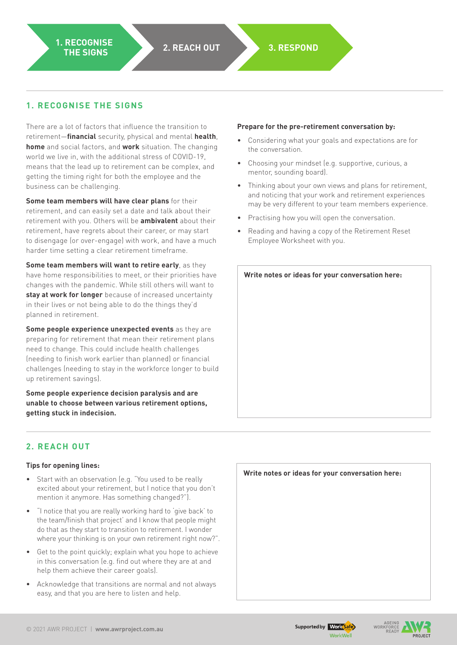### **1. Recognise the signs**

There are a lot of factors that influence the transition to retirement—**financial** security, physical and mental **health**, **home** and social factors, and **work** situation. The changing world we live in, with the additional stress of COVID-19, means that the lead up to retirement can be complex, and getting the timing right for both the employee and the business can be challenging.

**Some team members will have clear plans** for their retirement, and can easily set a date and talk about their retirement with you. Others will be **ambivalent** about their retirement, have regrets about their career, or may start to disengage (or over-engage) with work, and have a much harder time setting a clear retirement timeframe.

**Some team members will want to retire early**, as they have home responsibilities to meet, or their priorities have changes with the pandemic. While still others will want to **stay at work for longer** because of increased uncertainty in their lives or not being able to do the things they'd planned in retirement.

**Some people experience unexpected events** as they are preparing for retirement that mean their retirement plans need to change. This could include health challenges (needing to finish work earlier than planned) or financial challenges (needing to stay in the workforce longer to build up retirement savings).

**Some people experience decision paralysis and are unable to choose between various retirement options, getting stuck in indecision.** 

### **Prepare for the pre-retirement conversation by:**

- Considering what your goals and expectations are for the conversation.
- Choosing your mindset (e.g. supportive, curious, a mentor, sounding board).
- • Thinking about your own views and plans for retirement, and noticing that your work and retirement experiences may be very different to your team members experience.
- Practising how you will open the conversation.
- Reading and having a copy of the Retirement Reset Employee Worksheet with you.

### **2. Reach out**

#### **Tips for opening lines:**

- Start with an observation (e.g. "You used to be really excited about your retirement, but I notice that you don't mention it anymore. Has something changed?").
- "I notice that you are really working hard to 'give back' to the team/finish that project' and I know that people might do that as they start to transition to retirement. I wonder where your thinking is on your own retirement right now?".
- Get to the point quickly; explain what you hope to achieve in this conversation (e.g. find out where they are at and help them achieve their career goals).
- • Acknowledge that transitions are normal and not always easy, and that you are here to listen and help.

| Write notes or ideas for your conversation here: |  |
|--------------------------------------------------|--|
|                                                  |  |
|                                                  |  |
|                                                  |  |
|                                                  |  |
|                                                  |  |
|                                                  |  |
|                                                  |  |

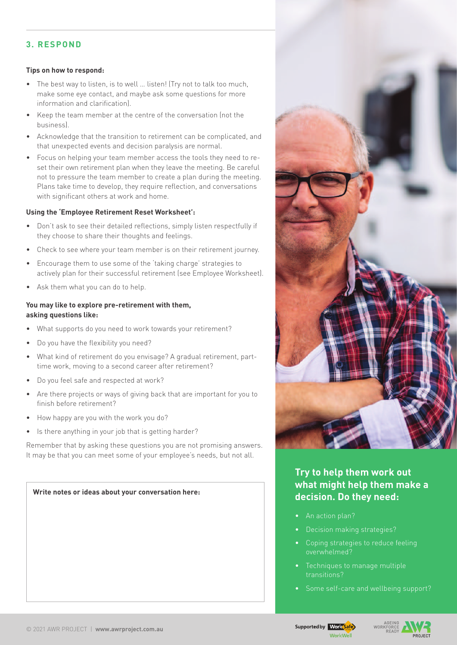### **3. ReSPOND**

#### **Tips on how to respond:**

- The best way to listen, is to well ... listen! (Try not to talk too much, make some eye contact, and maybe ask some questions for more information and clarification).
- • Keep the team member at the centre of the conversation (not the business).
- Acknowledge that the transition to retirement can be complicated, and that unexpected events and decision paralysis are normal.
- Focus on helping your team member access the tools they need to reset their own retirement plan when they leave the meeting. Be careful not to pressure the team member to create a plan during the meeting. Plans take time to develop, they require reflection, and conversations with significant others at work and home.

#### **Using the 'Employee Retirement Reset Worksheet':**

- • Don't ask to see their detailed reflections, simply listen respectfully if they choose to share their thoughts and feelings.
- Check to see where your team member is on their retirement journey.
- • Encourage them to use some of the 'taking charge' strategies to actively plan for their successful retirement (see Employee Worksheet).
- Ask them what you can do to help.

#### **You may like to explore pre-retirement with them, asking questions like:**

- What supports do you need to work towards your retirement?
- • Do you have the flexibility you need?
- What kind of retirement do you envisage? A gradual retirement, parttime work, moving to a second career after retirement?
- Do you feel safe and respected at work?
- Are there projects or ways of giving back that are important for you to finish before retirement?
- How happy are you with the work you do?
- Is there anything in your job that is getting harder?

Remember that by asking these questions you are not promising answers. It may be that you can meet some of your employee's needs, but not all.



### **Try to help them work out what might help them make a decision. Do they need:**

- An action plan?
- 
- overwhelmed?
- transitions?
- • Some self-care and wellbeing support?